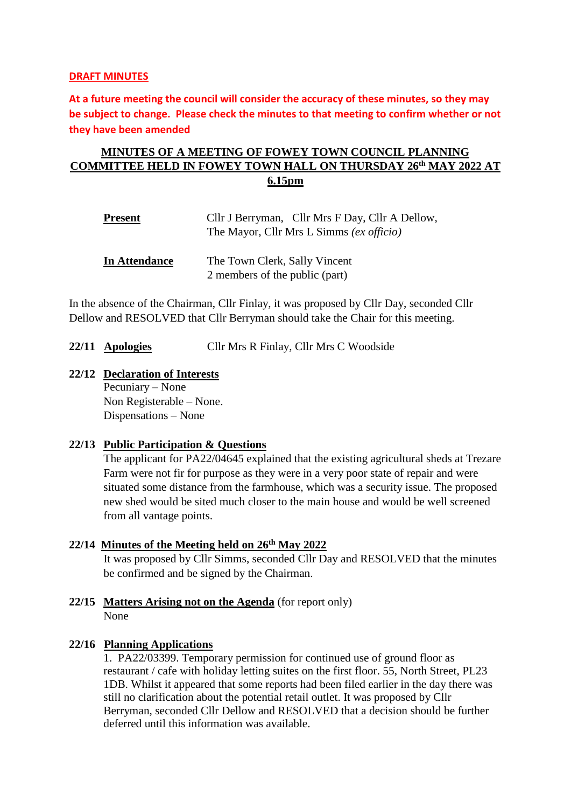#### **DRAFT MINUTES**

**At a future meeting the council will consider the accuracy of these minutes, so they may be subject to change. Please check the minutes to that meeting to confirm whether or not they have been amended**

## **MINUTES OF A MEETING OF FOWEY TOWN COUNCIL PLANNING COMMITTEE HELD IN FOWEY TOWN HALL ON THURSDAY 26 th MAY 2022 AT 6.15pm**

| <u>Present</u>       | Cllr J Berryman, Cllr Mrs F Day, Cllr A Dellow, |
|----------------------|-------------------------------------------------|
|                      | The Mayor, Cllr Mrs L Simms (ex officio)        |
| <b>In Attendance</b> | The Town Clerk, Sally Vincent                   |
|                      | 2 members of the public (part)                  |

In the absence of the Chairman, Cllr Finlay, it was proposed by Cllr Day, seconded Cllr Dellow and RESOLVED that Cllr Berryman should take the Chair for this meeting.

**22/11 Apologies** Cllr Mrs R Finlay, Cllr Mrs C Woodside

## **22/12 Declaration of Interests**

Pecuniary – None Non Registerable – None. Dispensations – None

### **22/13 Public Participation & Questions**

The applicant for PA22/04645 explained that the existing agricultural sheds at Trezare Farm were not fir for purpose as they were in a very poor state of repair and were situated some distance from the farmhouse, which was a security issue. The proposed new shed would be sited much closer to the main house and would be well screened from all vantage points.

### **22/14 Minutes of the Meeting held on 26 th May 2022**

It was proposed by Cllr Simms, seconded Cllr Day and RESOLVED that the minutes be confirmed and be signed by the Chairman.

#### **22/15 Matters Arising not on the Agenda** (for report only) None

### **22/16 Planning Applications**

1. PA22/03399. [Temporary permission for continued use of ground floor as](https://planning.cornwall.gov.uk/online-applications/applicationDetails.do?activeTab=summary&keyVal=R9X1ESFGMNR00&prevPage=inTray)  [restaurant / cafe with holiday letting suites on the first floor.](https://planning.cornwall.gov.uk/online-applications/applicationDetails.do?activeTab=summary&keyVal=R9X1ESFGMNR00&prevPage=inTray) 55, North Street, PL23 1DB. Whilst it appeared that some reports had been filed earlier in the day there was still no clarification about the potential retail outlet. It was proposed by Cllr Berryman, seconded Cllr Dellow and RESOLVED that a decision should be further deferred until this information was available.